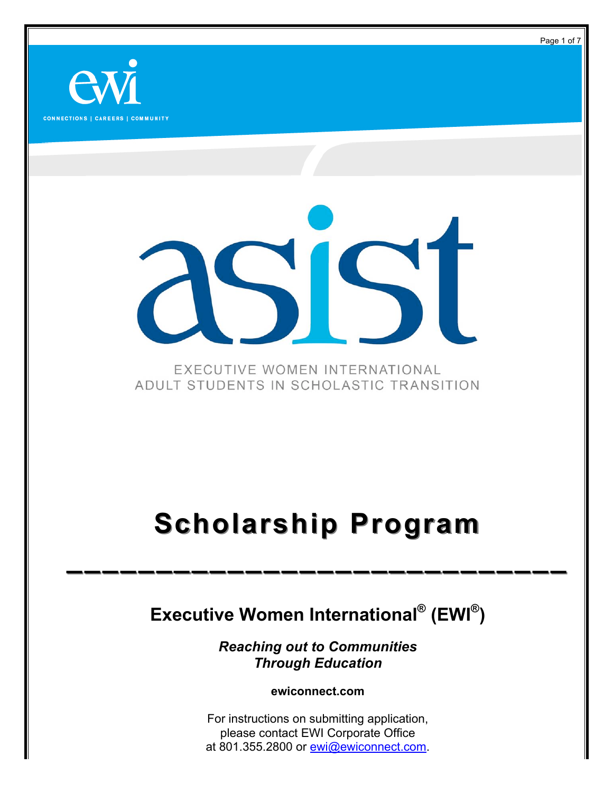**CONNECTIONS | CAREERS | COMMUNITY** 

EXECUTIVE WOMEN INTERNATIONAL ADULT STUDENTS IN SCHOLASTIC TRANSITION

### **Scholarship Program Scholarship Program**

**\_\_\_\_\_\_\_\_\_\_\_\_\_\_\_\_\_\_\_\_\_\_\_\_\_\_\_\_ \_\_\_\_\_\_\_\_\_\_\_\_\_\_\_\_\_\_\_\_\_\_\_\_\_\_\_\_**

### **Executive Women International® (EWI®)**

*Reaching out to Communities Through Education*

**ewiconnect.com**

For instructions on submitting application, please contact EWI Corporate Office at 801.355.2800 or ewi@ewiconnect.com. Page 1 of 7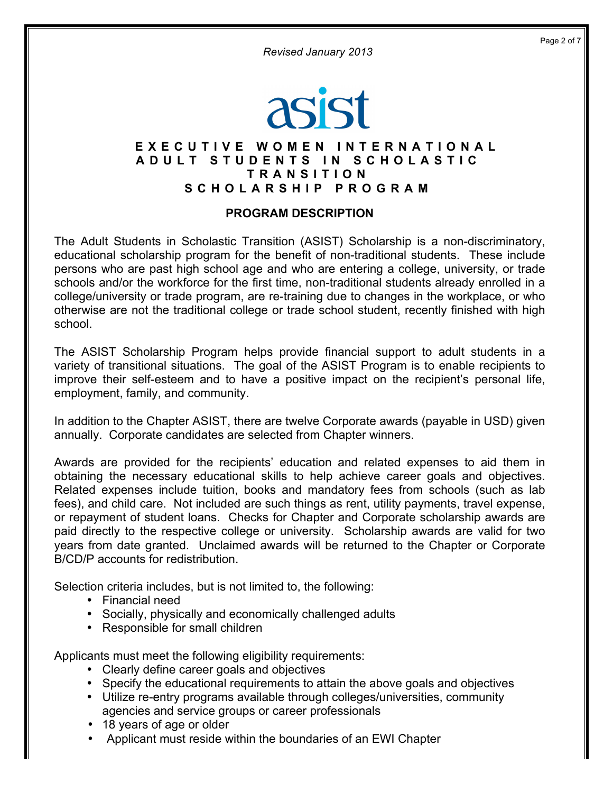*Revised January 2013*

## asist

#### **EXECUTIVE WOMEN INTERNATIONAL ADULT STUDENTS IN SCHOLASTIC T RANSITION SCHOLARSHIP PROGRAM**

#### **PROGRAM DESCRIPTION**

The Adult Students in Scholastic Transition (ASIST) Scholarship is a non-discriminatory, educational scholarship program for the benefit of non-traditional students. These include persons who are past high school age and who are entering a college, university, or trade schools and/or the workforce for the first time, non-traditional students already enrolled in a college/university or trade program, are re-training due to changes in the workplace, or who otherwise are not the traditional college or trade school student, recently finished with high school.

The ASIST Scholarship Program helps provide financial support to adult students in a variety of transitional situations. The goal of the ASIST Program is to enable recipients to improve their self-esteem and to have a positive impact on the recipient's personal life, employment, family, and community.

In addition to the Chapter ASIST, there are twelve Corporate awards (payable in USD) given annually. Corporate candidates are selected from Chapter winners.

Awards are provided for the recipients' education and related expenses to aid them in obtaining the necessary educational skills to help achieve career goals and objectives. Related expenses include tuition, books and mandatory fees from schools (such as lab fees), and child care. Not included are such things as rent, utility payments, travel expense, or repayment of student loans. Checks for Chapter and Corporate scholarship awards are paid directly to the respective college or university. Scholarship awards are valid for two years from date granted. Unclaimed awards will be returned to the Chapter or Corporate B/CD/P accounts for redistribution.

Selection criteria includes, but is not limited to, the following:

- Financial need
- Socially, physically and economically challenged adults
- Responsible for small children

Applicants must meet the following eligibility requirements:

- Clearly define career goals and objectives
- Specify the educational requirements to attain the above goals and objectives
- Utilize re-entry programs available through colleges/universities, community agencies and service groups or career professionals
- 18 years of age or older
- Applicant must reside within the boundaries of an EWI Chapter

Page 2 of 7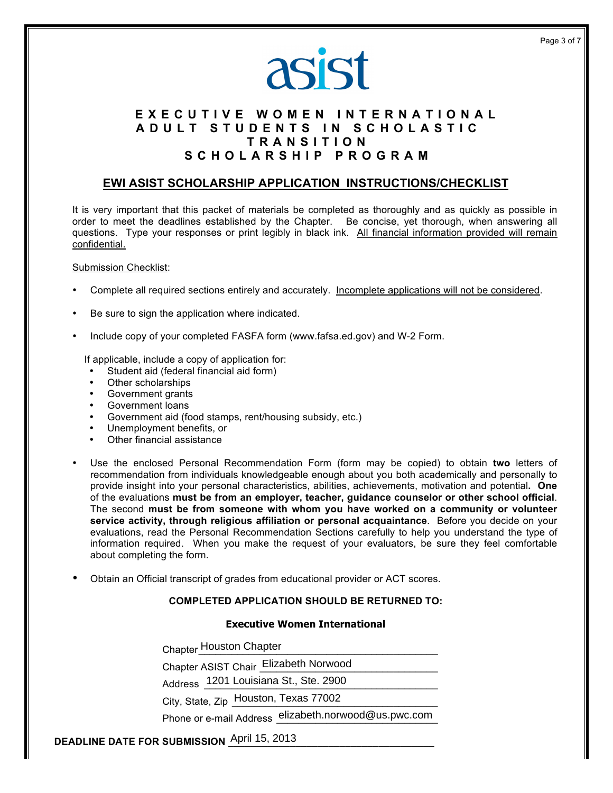

#### **EXECUTIVE WOMEN INTERNATIONAL ADULT STUDENTS IN SCHOLASTIC T RAN SITION SCHOLARSHIP PROGRAM**

#### **EWI ASIST SCHOLARSHIP APPLICATION INSTRUCTIONS/CHECKLIST**

It is very important that this packet of materials be completed as thoroughly and as quickly as possible in order to meet the deadlines established by the Chapter. Be concise, yet thorough, when answering all questions. Type your responses or print legibly in black ink. All financial information provided will remain confidential.

#### Submission Checklist:

- Complete all required sections entirely and accurately. Incomplete applications will not be considered.
- Be sure to sign the application where indicated.
- Include copy of your completed FASFA form (www.fafsa.ed.gov) and W-2 Form.

If applicable, include a copy of application for:

- Student aid (federal financial aid form)
- Other scholarships
- Government grants
- Government loans
- Government aid (food stamps, rent/housing subsidy, etc.)
- Unemployment benefits, or
- Other financial assistance
- Use the enclosed Personal Recommendation Form (form may be copied) to obtain **two** letters of recommendation from individuals knowledgeable enough about you both academically and personally to provide insight into your personal characteristics, abilities, achievements, motivation and potential**. One** of the evaluations **must be from an employer, teacher, guidance counselor or other school official**. The second **must be from someone with whom you have worked on a community or volunteer service activity, through religious affiliation or personal acquaintance**. Before you decide on your evaluations, read the Personal Recommendation Sections carefully to help you understand the type of information required. When you make the request of your evaluators, be sure they feel comfortable about completing the form.
- Obtain an Official transcript of grades from educational provider or ACT scores.

#### **COMPLETED APPLICATION SHOULD BE RETURNED TO:**

#### **Executive Women International**

Chapter\_\_\_\_\_\_\_\_\_\_\_\_\_\_\_\_\_\_\_\_\_\_\_\_\_\_\_\_\_\_\_\_\_\_\_\_\_\_\_\_\_\_\_ Houston Chapter

Chapter ASIST Chair Elizabeth Norwood

Address 1201 Louisiana St., Ste. 2900

City, State, Zip Houston, Texas 77002

Phone or e-mail Address elizabeth.norwood@us.pwc.com

#### **DEADLINE DATE FOR SUBMISSION April 15, 2013**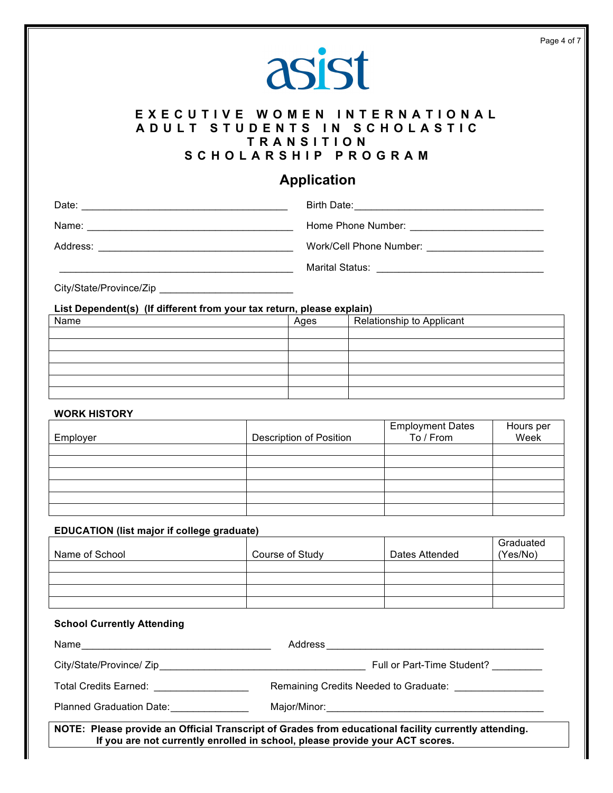## asist

#### **EXECUTIVE WOMEN INTERNATIONAL ADULT STUDENTS IN SCHOLASTIC T RANSITION SCHOLARSHIP PROGRAM**

#### **Application**

| Date:    | Birth Date: <u>__________________________________</u> |
|----------|-------------------------------------------------------|
| Name:    | Home Phone Number: New York 1988                      |
| Address: | Work/Cell Phone Number: Work/Cell Phone Number:       |
|          | Marital Status:                                       |
|          |                                                       |

City/State/Province/Zip \_\_\_\_\_\_\_\_\_\_\_\_\_\_\_\_\_\_\_\_\_\_\_\_

**List Dependent(s) (If different from your tax return, please explain)**

| Name | Ages | Relationship to Applicant |
|------|------|---------------------------|
|      |      |                           |
|      |      |                           |
|      |      |                           |
|      |      |                           |
|      |      |                           |
|      |      |                           |

#### **WORK HISTORY**

| Employer | <b>Description of Position</b> | Employment Dates<br>To / From | Hours per<br>Week |
|----------|--------------------------------|-------------------------------|-------------------|
|          |                                |                               |                   |
|          |                                |                               |                   |
|          |                                |                               |                   |
|          |                                |                               |                   |
|          |                                |                               |                   |
|          |                                |                               |                   |

#### **EDUCATION (list major if college graduate)**

| Name of School | Course of Study | Dates Attended | Graduated<br>(Yes/No) |
|----------------|-----------------|----------------|-----------------------|
|                |                 |                |                       |
|                |                 |                |                       |
|                |                 |                |                       |
|                |                 |                |                       |

#### **School Currently Attending**

| Name<br><u> 1980 - Jan Sterling, Amerikaansk politiker (</u>                                                                                                                                                                  |                                                         |  |
|-------------------------------------------------------------------------------------------------------------------------------------------------------------------------------------------------------------------------------|---------------------------------------------------------|--|
| City/State/Province/ Zip example of the state of the state of the state of the state of the state of the state of the state of the state of the state of the state of the state of the state of the state of the state of the | Full or Part-Time Student?                              |  |
| Total Credits Earned: Total Credits Earned:                                                                                                                                                                                   | Remaining Credits Needed to Graduate: _________________ |  |
| Planned Graduation Date:                                                                                                                                                                                                      |                                                         |  |
| NOTE: Please provide an Official Transcript of Grades from educational facility currently attending.<br>If you are not currently enrolled in school, please provide your ACT scores.                                          |                                                         |  |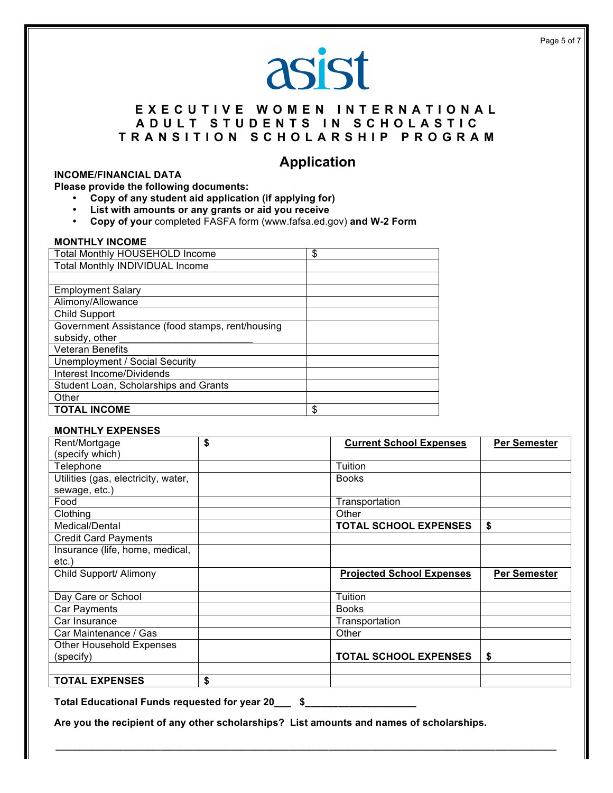# asist

#### **EXECUTIVE WOMEN INTERNATIONAL ADULT STUDENTS IN SCHOLASTIC T RANSITION SCHOLARSHIP PROGRAM**

#### **Application**

#### **INCOME/FINANCIAL DATA**

**Please provide the following documents:**

- **Copy of any student aid application (if applying for)**
- **List with amounts or any grants or aid you receive**
- **Copy of your** completed FASFA form (www.fafsa.ed.gov) **and W-2 Form**

#### **MONTHLY INCOME**

| <b>Total Monthly HOUSEHOLD Income</b>            | \$ |
|--------------------------------------------------|----|
| Total Monthly INDIVIDUAL Income                  |    |
|                                                  |    |
| <b>Employment Salary</b>                         |    |
| Alimony/Allowance                                |    |
| <b>Child Support</b>                             |    |
| Government Assistance (food stamps, rent/housing |    |
| subsidy, other                                   |    |
| <b>Veteran Benefits</b>                          |    |
| <b>Unemployment / Social Security</b>            |    |
| Interest Income/Dividends                        |    |
| Student Loan, Scholarships and Grants            |    |
| Other                                            |    |
| <b>TOTAL INCOME</b>                              | \$ |

#### **MONTHLY EXPENSES**

| Rent/Mortgage                       | \$<br><b>Current School Expenses</b> | <b>Per Semester</b> |
|-------------------------------------|--------------------------------------|---------------------|
| (specify which)                     |                                      |                     |
| Telephone                           | Tuition                              |                     |
| Utilities (gas, electricity, water, | <b>Books</b>                         |                     |
| sewage, etc.)                       |                                      |                     |
| Food                                | Transportation                       |                     |
| Clothing                            | Other                                |                     |
| Medical/Dental                      | <b>TOTAL SCHOOL EXPENSES</b>         | \$                  |
| <b>Credit Card Payments</b>         |                                      |                     |
| Insurance (life, home, medical,     |                                      |                     |
| etc.)                               |                                      |                     |
| Child Support/ Alimony              | <b>Projected School Expenses</b>     | Per Semester        |
| Day Care or School                  | Tuition                              |                     |
| Car Payments                        | <b>Books</b>                         |                     |
| Car Insurance                       | Transportation                       |                     |
| Car Maintenance / Gas               | Other                                |                     |
| <b>Other Household Expenses</b>     |                                      |                     |
| (specify)                           | <b>TOTAL SCHOOL EXPENSES</b>         | \$                  |
|                                     |                                      |                     |
| <b>TOTAL EXPENSES</b>               | \$                                   |                     |

**\_\_\_\_\_\_\_\_\_\_\_\_\_\_\_\_\_\_\_\_\_\_\_\_\_\_\_\_\_\_\_\_\_\_\_\_\_\_\_\_\_\_\_\_\_\_\_\_\_\_\_\_\_\_\_\_\_\_\_\_\_\_\_\_\_\_\_\_\_\_\_\_\_\_\_\_\_\_\_\_\_\_\_\_\_\_\_\_\_\_**

**Total Educational Funds requested for year 20\_\_\_ \$\_\_\_\_\_\_\_\_\_\_\_\_\_\_\_\_\_\_\_\_**

**Are you the recipient of any other scholarships? List amounts and names of scholarships.**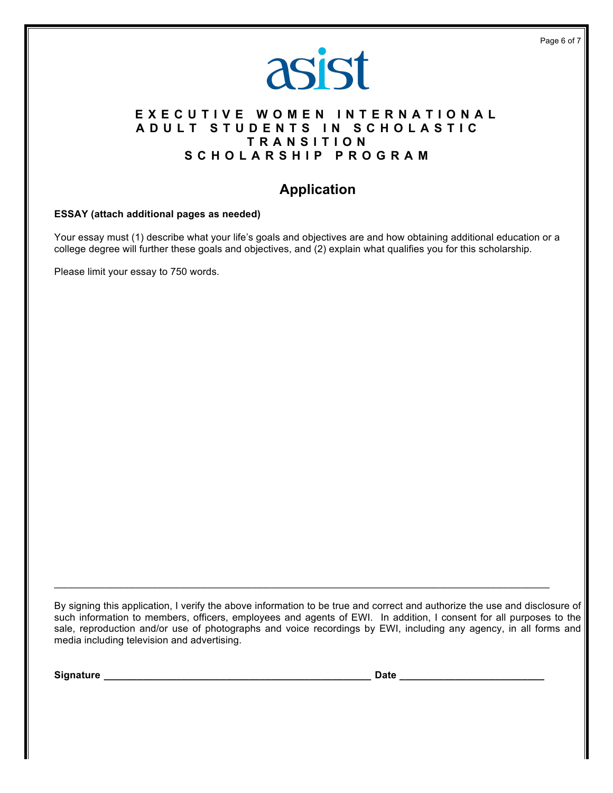

#### **EXECUTIVE WOMEN INTERNATIONAL ADULT STUDENTS IN SCHOLASTIC T RANSITION SCHOLARSHIP PROGRAM**

### **Application**

#### **ESSAY (attach additional pages as needed)**

Your essay must (1) describe what your life's goals and objectives are and how obtaining additional education or a college degree will further these goals and objectives, and (2) explain what qualifies you for this scholarship.

Please limit your essay to 750 words.

By signing this application, I verify the above information to be true and correct and authorize the use and disclosure of such information to members, officers, employees and agents of EWI. In addition, I consent for all purposes to the sale, reproduction and/or use of photographs and voice recordings by EWI, including any agency, in all forms and media including television and advertising.

 $\mathcal{L}_\mathcal{L} = \{ \mathcal{L}_\mathcal{L} = \{ \mathcal{L}_\mathcal{L} = \{ \mathcal{L}_\mathcal{L} = \{ \mathcal{L}_\mathcal{L} = \{ \mathcal{L}_\mathcal{L} = \{ \mathcal{L}_\mathcal{L} = \{ \mathcal{L}_\mathcal{L} = \{ \mathcal{L}_\mathcal{L} = \{ \mathcal{L}_\mathcal{L} = \{ \mathcal{L}_\mathcal{L} = \{ \mathcal{L}_\mathcal{L} = \{ \mathcal{L}_\mathcal{L} = \{ \mathcal{L}_\mathcal{L} = \{ \mathcal{L}_\mathcal{$ 

**Signature \_\_\_\_\_\_\_\_\_\_\_\_\_\_\_\_\_\_\_\_\_\_\_\_\_\_\_\_\_\_\_\_\_\_\_\_\_\_\_\_\_\_\_\_\_\_\_\_ Date \_\_\_\_\_\_\_\_\_\_\_\_\_\_\_\_\_\_\_\_\_\_\_\_\_\_**